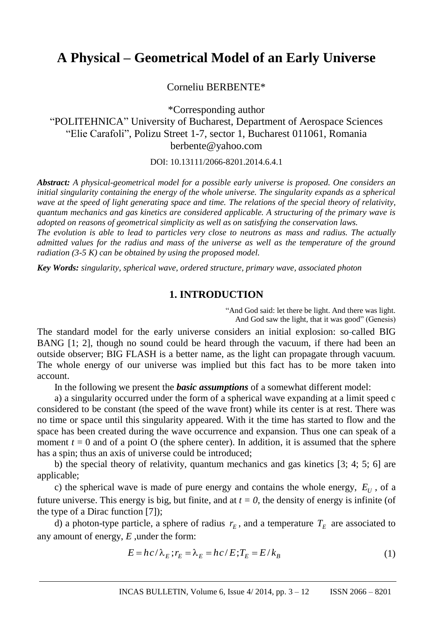# **A Physical – Geometrical Model of an Early Universe**

Corneliu BERBENTE\*

\*Corresponding author "POLITEHNICA" University of Bucharest, Department of Aerospace Sciences "Elie Carafoli", Polizu Street 1-7, sector 1, Bucharest 011061, Romania berbente@yahoo.com

DOI: 10.13111/2066-8201.2014.6.4.1

*Abstract: A physical-geometrical model for a possible early universe is proposed. One considers an initial singularity containing the energy of the whole universe. The singularity expands as a spherical wave at the speed of light generating space and time. The relations of the special theory of relativity, quantum mechanics and gas kinetics are considered applicable. A structuring of the primary wave is adopted on reasons of geometrical simplicity as well as on satisfying the conservation laws. The evolution is able to lead to particles very close to neutrons as mass and radius. The actually* 

*admitted values for the radius and mass of the universe as well as the temperature of the ground radiation (3-5 K) can be obtained by using the proposed model.*

*Key Words: singularity, spherical wave, ordered structure, primary wave, associated photon*

#### **1. INTRODUCTION**

"And God said: let there be light. And there was light. And God saw the light, that it was good" (Genesis)

The standard model for the early universe considers an initial explosion: so-called BIG BANG [1; 2], though no sound could be heard through the vacuum, if there had been an outside observer; BIG FLASH is a better name, as the light can propagate through vacuum. The whole energy of our universe was implied but this fact has to be more taken into account.

In the following we present the *basic assumptions* of a somewhat different model:

a) a singularity occurred under the form of a spherical wave expanding at a limit speed c considered to be constant (the speed of the wave front) while its center is at rest. There was no time or space until this singularity appeared. With it the time has started to flow and the space has been created during the wave occurrence and expansion. Thus one can speak of a moment  $t = 0$  and of a point O (the sphere center). In addition, it is assumed that the sphere has a spin; thus an axis of universe could be introduced;

b) the special theory of relativity, quantum mechanics and gas kinetics [3; 4; 5; 6] are applicable;

c) the spherical wave is made of pure energy and contains the whole energy,  $E_U$ , of a future universe. This energy is big, but finite, and at  $t = 0$ , the density of energy is infinite (of the type of a Dirac function [7]);

d) a photon-type particle, a sphere of radius  $r_E$ , and a temperature  $T_E$  are associated to any amount of energy, *E* ,under the form:

$$
E = hc/\lambda_E; r_E = \lambda_E = hc/E; T_E = E/k_B
$$
\n(1)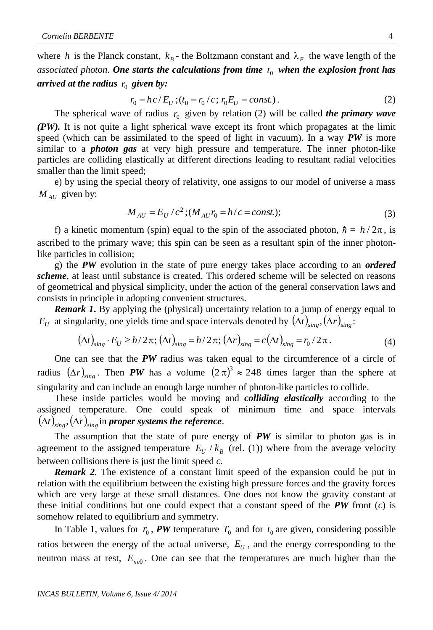where *h* is the Planck constant,  $k_B$  - the Boltzmann constant and  $\lambda_E$  the wave length of the *associated photon*. *One starts the calculations from time*  0 *t when the explosion front has arrived at the radius*  $\,_0$  *given by:* 

$$
r_0 = hc/E_U ; (t_0 = r_0/c ; r_0 E_U = const.).
$$
 (2)

The spherical wave of radius  $r_0$  given by relation (2) will be called *the primary wave (PW).* It is not quite a light spherical wave except its front which propagates at the limit speed (which can be assimilated to the speed of light in vacuum). In a way *PW* is more similar to a *photon gas* at very high pressure and temperature. The inner photon-like particles are colliding elastically at different directions leading to resultant radial velocities smaller than the limit speed;

e) by using the special theory of relativity, one assigns to our model of universe a mass  $M_{AU}$  given by:

$$
M_{AU} = E_U / c^2 ; (M_{AU} r_0 = h / c = const.); \tag{3}
$$

f) a kinetic momentum (spin) equal to the spin of the associated photon,  $\hbar = h/2\pi$ , is ascribed to the primary wave; this spin can be seen as a resultant spin of the inner photonlike particles in collision;

g) the *PW* evolution in the state of pure energy takes place according to an *ordered scheme*, at least until substance is created. This ordered scheme will be selected on reasons of geometrical and physical simplicity, under the action of the general conservation laws and consists in principle in adopting convenient structures.

*Remark 1***.** By applying the (physical) uncertainty relation to a jump of energy equal to  $E_U$  at singularity, one yields time and space intervals denoted by  $(\Delta t)_{sing}$ ,  $(\Delta r)_{sing}$ .

$$
(\Delta t)_{\rm sing} \cdot E_U \ge h/2\pi; \left(\Delta t\right)_{\rm sing} = h/2\pi; \left(\Delta r\right)_{\rm sing} = c\left(\Delta t\right)_{\rm sing} = r_0/2\pi. \tag{4}
$$

One can see that the *PW* radius was taken equal to the circumference of a circle of radius  $(\Delta r)_{sing}$ . Then *PW* has a volume  $(2 \pi)^3 \approx 248$  times larger than the sphere at singularity and can include an enough large number of photon-like particles to collide.

These inside particles would be moving and *colliding elastically* according to the assigned temperature. One could speak of minimum time and space intervals  $\left(\Delta t\right)_{\mathrm{sing}}, \left(\Delta r\right)_{\mathrm{sing}}$  in proper systems the reference.

The assumption that the state of pure energy of  $PW$  is similar to photon gas is in agreement to the assigned temperature  $E_U / k_B$  (rel. (1)) where from the average velocity between collisions there is just the limit speed *c.*

*Remark 2.* The existence of a constant limit speed of the expansion could be put in relation with the equilibrium between the existing high pressure forces and the gravity forces which are very large at these small distances. One does not know the gravity constant at these initial conditions but one could expect that a constant speed of the *PW* front (*c*) is somehow related to equilibrium and symmetry.

In Table 1, values for  $r_0$ , **PW** temperature  $T_0$  and for  $t_0$  are given, considering possible ratios between the energy of the actual universe,  $E_U$ , and the energy corresponding to the neutron mass at rest,  $E_{ne0}$ . One can see that the temperatures are much higher than the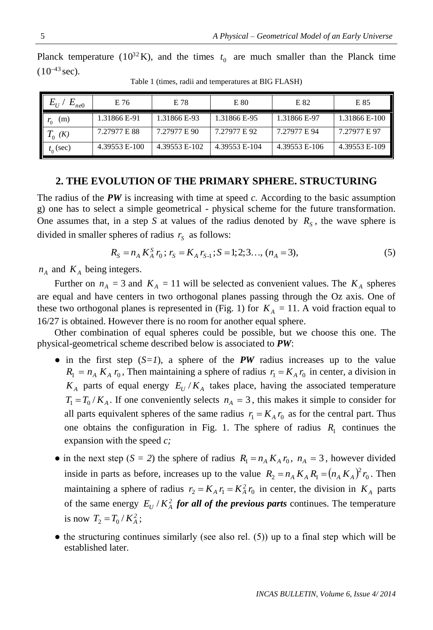|                   | Planck temperature ( $10^{32}$ K), and the times $t_0$ are much smaller than the Planck time |  |  |  |  |  |  |
|-------------------|----------------------------------------------------------------------------------------------|--|--|--|--|--|--|
| $(10^{-43}$ sec). |                                                                                              |  |  |  |  |  |  |

| $E_{\scriptscriptstyle II}$<br>$L_{ne0}$ | E 76          | E 78          | E 80          | E 82          | E 85          |
|------------------------------------------|---------------|---------------|---------------|---------------|---------------|
| (m)<br>$r_{0}$                           | 1.31866 E-91  | 1.31866 E-93  | 1.31866 E-95  | 1.31866 E-97  | 1.31866 E-100 |
| $T_0$ (K)                                | 7.27977 E 88  | 7.27977 E 90  | 7.27977 E 92  | 7.27977 E 94  | 7.27977 E 97  |
| $t_0$ (sec)                              | 4.39553 E-100 | 4.39553 E-102 | 4.39553 E-104 | 4.39553 E-106 | 4.39553 E-109 |

Table 1 (times, radii and temperatures at BIG FLASH)

#### **2. THE EVOLUTION OF THE PRIMARY SPHERE. STRUCTURING**

The radius of the *PW* is increasing with time at speed *c.* According to the basic assumption g) one has to select a simple geometrical - physical scheme for the future transformation. One assumes that, in a step *S* at values of the radius denoted by  $R<sub>S</sub>$ , the wave sphere is divided in smaller spheres of radius  $r_s$  as follows:

$$
R_S = n_A K_A^S r_0; r_S = K_A r_{S-1}; S = 1; 2; 3..., (n_A = 3),
$$
\n(5)

 $n_A$  and  $K_A$  being integers.

Further on  $n_A = 3$  and  $K_A = 11$  will be selected as convenient values. The  $K_A$  spheres are equal and have centers in two orthogonal planes passing through the Oz axis. One of these two orthogonal planes is represented in (Fig. 1) for  $K_A = 11$ . A void fraction equal to 16/27 is obtained. However there is no room for another equal sphere.

Other combination of equal spheres could be possible, but we choose this one. The physical-geometrical scheme described below is associated to *PW*:

- $\bullet$  in the first step (*S*=*1*), a sphere of the *PW* radius increases up to the value  $R_1 = n_A K_A r_0$ , Then maintaining a sphere of radius  $r_1 = K_A r_0$  in center, a division in  $K_A$  parts of equal energy  $E_U/K_A$  takes place, having the associated temperature  $T_1 = T_0/K_A$ . If one conveniently selects  $n_A = 3$ , this makes it simple to consider for all parts equivalent spheres of the same radius  $r_1 = K_A r_0$  as for the central part. Thus one obtains the configuration in Fig. 1. The sphere of radius  $R_1$  continues the expansion with the speed *c;*
- in the next step (*S* = 2) the sphere of radius  $R_1 = n_A K_A r_0$ ,  $n_A = 3$ , however divided inside in parts as before, increases up to the value  $R_2 = n_A K_A R_1 = (n_A K_A)^2 r_0$ . Then maintaining a sphere of radius  $r_2 = K_A r_1 = K_A^2 r_0$  in center, the division in  $K_A$  parts of the same energy  $E_U/K_A^2$  *for all of the previous parts* continues. The temperature is now  $T_2 = T_0 / K_A^2$ ;
- $\bullet$  the structuring continues similarly (see also rel. (5)) up to a final step which will be established later.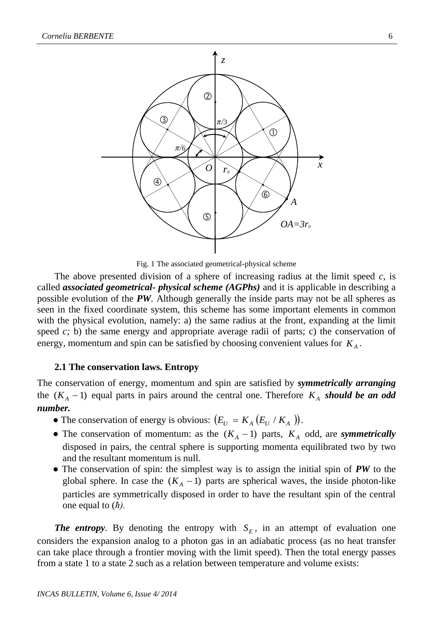

Fig. 1 The associated geometrical-physical scheme

The above presented division of a sphere of increasing radius at the limit speed *c*, is called *associated geometrical- physical scheme (AGPhs)* and it is applicable in describing a possible evolution of the *PW.* Although generally the inside parts may not be all spheres as seen in the fixed coordinate system, this scheme has some important elements in common with the physical evolution, namely: a) the same radius at the front, expanding at the limit speed *c*; b) the same energy and appropriate average radii of parts; c) the conservation of energy, momentum and spin can be satisfied by choosing convenient values for  $K_A$ .

## **2.1 The conservation laws. Entropy**

The conservation of energy, momentum and spin are satisfied by *symmetrically arranging* the  $(K_A - 1)$  equal parts in pairs around the central one. Therefore  $K_A$  should be an odd *number.*

- The conservation of energy is obvious:  $(E_U = K_A (E_U / K_A))$ .
- The conservation of momentum: as the  $(K_A 1)$  parts,  $K_A$  odd, are *symmetrically* disposed in pairs, the central sphere is supporting momenta equilibrated two by two and the resultant momentum is null.
- The conservation of spin: the simplest way is to assign the initial spin of *PW* to the global sphere. In case the  $(K_A - 1)$  parts are spherical waves, the inside photon-like particles are symmetrically disposed in order to have the resultant spin of the central one equal to (*ħ).*

*The entropy*. By denoting the entropy with  $S_E$ , in an attempt of evaluation one considers the expansion analog to a photon gas in an adiabatic process (as no heat transfer can take place through a frontier moving with the limit speed). Then the total energy passes from a state 1 to a state 2 such as a relation between temperature and volume exists: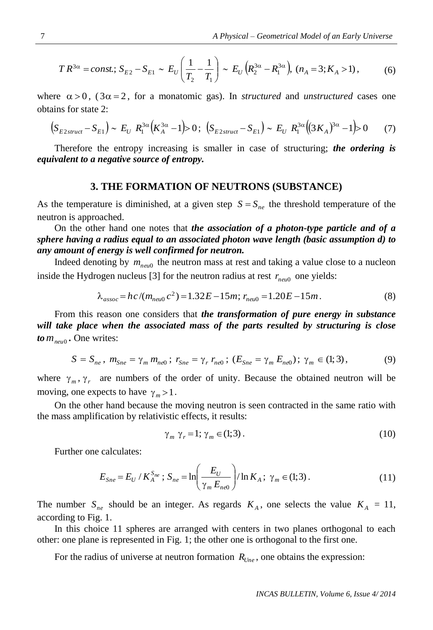$$
TR^{3\alpha} = const.; S_{E2} - S_{E1} \sim E_U \left( \frac{1}{T_2} - \frac{1}{T_1} \right) \sim E_U \left( R_2^{3\alpha} - R_1^{3\alpha} \right), \ (n_A = 3; K_A > 1), \tag{6}
$$

where  $\alpha > 0$ ,  $(3\alpha = 2)$ , for a monatomic gas). In *structured* and *unstructured* cases one obtains for state 2:

$$
(S_{E2struct} - S_{E1}) \sim E_U R_1^{3\alpha} (K_A^{3\alpha} - 1) > 0; (S_{E2struct} - S_{E1}) \sim E_U R_1^{3\alpha} ((3K_A)^{3\alpha} - 1) > 0 \tag{7}
$$

Therefore the entropy increasing is smaller in case of structuring; *the ordering is equivalent to a negative source of entropy.*

#### **3. THE FORMATION OF NEUTRONS (SUBSTANCE)**

As the temperature is diminished, at a given step  $S = S_{ne}$  the threshold temperature of the neutron is approached.

On the other hand one notes that *the association of a photon-type particle and of a sphere having a radius equal to an associated photon wave length (basic assumption d) to any amount of energy is well confirmed for neutron.*

Indeed denoting by  $m_{neu0}$  the neutron mass at rest and taking a value close to a nucleon inside the Hydrogen nucleus [3] for the neutron radius at rest  $r_{\text{neu0}}$  one yields:

$$
\lambda_{assoc} = hc/(m_{neu0}c^2) = 1.32E - 15m; r_{neu0} = 1.20E - 15m.
$$
\n(8)

From this reason one considers that *the transformation of pure energy in substance will take place when the associated mass of the parts resulted by structuring is close to mneu*<sup>0</sup> *.* One writes:

$$
S = S_{ne}, \, m_{Sne} = \gamma_m \, m_{ne0} \, ; \, r_{Sne} = \gamma_r \, r_{ne0} \, ; \, (E_{Sne} = \gamma_m \, E_{ne0}) \, ; \, \gamma_m \in (1; 3), \tag{9}
$$

where  $\gamma_m$ ,  $\gamma_r$  are numbers of the order of unity. Because the obtained neutron will be moving, one expects to have  $\gamma_m > 1$ .

On the other hand because the moving neutron is seen contracted in the same ratio with the mass amplification by relativistic effects, it results:

$$
\gamma_m \gamma_r = 1; \gamma_m \in (1; 3). \tag{10}
$$

Further one calculates:

$$
E_{Sne} = E_U / K_A^{S_{ne}}; S_{ne} = \ln\left(\frac{E_U}{\gamma_m E_{ne0}}\right) / \ln K_A; \ \gamma_m \in (1; 3). \tag{11}
$$

The number  $S_{ne}$  should be an integer. As regards  $K_A$ , one selects the value  $K_A = 11$ , according to Fig. 1.

In this choice 11 spheres are arranged with centers in two planes orthogonal to each other: one plane is represented in Fig. 1; the other one is orthogonal to the first one.

For the radius of universe at neutron formation  $R_{\text{Une}}$ , one obtains the expression: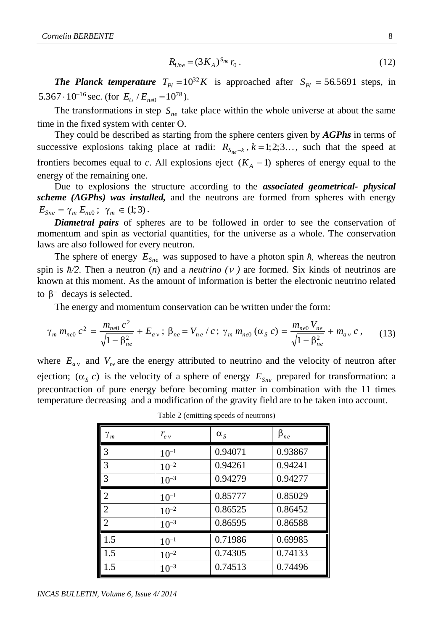$$
R_{\text{Une}} = (3K_A)^{S_{\text{ne}}} r_0 \,. \tag{12}
$$

*The Planck temperature*  $T_{Pl} = 10^{32} K$  is approached after  $S_{Pl} = 56.5691$  steps, in 5.367 ·  $10^{-16}$  sec. (for  $E_U / E_{ne0} = 10^{78}$ ).

The transformations in step  $S_{ne}$  take place within the whole universe at about the same time in the fixed system with center O.

They could be described as starting from the sphere centers given by *AGPhs* in terms of successive explosions taking place at radii:  $R_{S_{ne}-k}$ ,  $k=1,2,3...$ , such that the speed at frontiers becomes equal to *c*. All explosions eject  $(K_A - 1)$  spheres of energy equal to the energy of the remaining one.

Due to explosions the structure according to the *associated geometrical- physical scheme (AGPhs) was installed,* and the neutrons are formed from spheres with energy  $E_{Sne} = \gamma_m E_{ne0}$ ;  $\gamma_m \in (1,3)$ .

*Diametral pairs* of spheres are to be followed in order to see the conservation of momentum and spin as vectorial quantities, for the universe as a whole. The conservation laws are also followed for every neutron.

The sphere of energy  $E_{Sne}$  was supposed to have a photon spin  $\hbar$ , whereas the neutron spin is  $\hbar/2$ . Then a neutron (*n*) and a *neutrino* (*v*) are formed. Six kinds of neutrinos are known at this moment. As the amount of information is better the electronic neutrino related to  $\beta^-$  decays is selected.

The energy and momentum conservation can be written under the form:

$$
\gamma_m m_{ne0} c^2 = \frac{m_{ne0} c^2}{\sqrt{1 - \beta_{ne}^2}} + E_{av} ; \beta_{ne} = V_{ne} / c ; \gamma_m m_{ne0} (\alpha_S c) = \frac{m_{ne0} V_{ne}}{\sqrt{1 - \beta_{ne}^2}} + m_{av} c , \qquad (13)
$$

where  $E_{av}$  and  $V_{ne}$  are the energy attributed to neutrino and the velocity of neutron after ejection;  $(\alpha_s c)$  is the velocity of a sphere of energy  $E_{Sne}$  prepared for transformation: a precontraction of pure energy before becoming matter in combination with the 11 times temperature decreasing and a modification of the gravity field are to be taken into account.

| ${\gamma}_m$   | $r_{ev}$  | $\alpha_{s}$ | $\beta_{ne}$ |
|----------------|-----------|--------------|--------------|
| $\mathcal{R}$  | $10^{-1}$ | 0.94071      | 0.93867      |
| 3              | $10^{-2}$ | 0.94261      | 0.94241      |
| 3              | $10^{-3}$ | 0.94279      | 0.94277      |
| 2              | $10^{-1}$ | 0.85777      | 0.85029      |
| $\overline{2}$ | $10^{-2}$ | 0.86525      | 0.86452      |
| $\mathfrak{D}$ | $10^{-3}$ | 0.86595      | 0.86588      |
| 1.5            | $10^{-1}$ | 0.71986      | 0.69985      |
| 1.5            | $10^{-2}$ | 0.74305      | 0.74133      |
| 1.5            | $10^{-3}$ | 0.74513      | 0.74496      |

Table 2 (emitting speeds of neutrons)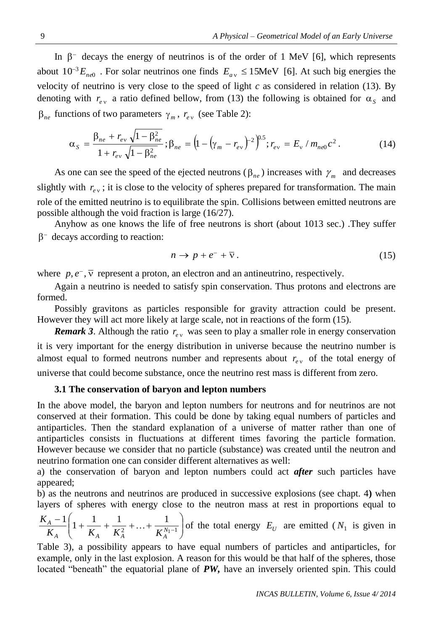In  $\beta$ <sup>-</sup> decays the energy of neutrinos is of the order of 1 MeV [6], which represents about  $10^{-3} E_{ne0}$ . For solar neutrinos one finds  $E_{av} \le 15$ MeV [6]. At such big energies the velocity of neutrino is very close to the speed of light  $c$  as considered in relation (13). By denoting with  $r_{e\nu}$  a ratio defined bellow, from (13) the following is obtained for  $\alpha_s$  and  $\beta_{ne}$  functions of two parameters  $\gamma_m$ ,  $r_{e\nu}$  (see Table 2):

$$
\alpha_{S} = \frac{\beta_{ne} + r_{ev} \sqrt{1 - \beta_{ne}^{2}}}{1 + r_{ev} \sqrt{1 - \beta_{ne}^{2}}}; \beta_{ne} = \left(1 - \left(\gamma_{m} - r_{ev}\right)^{-2}\right)^{0.5}; r_{ev} = E_{v} / m_{ne0} c^{2}. \qquad (14)
$$

As one can see the speed of the ejected neutrons ( $\beta_{ne}$ ) increases with  $\gamma_m$  and decreases slightly with  $r_{ev}$ ; it is close to the velocity of spheres prepared for transformation. The main role of the emitted neutrino is to equilibrate the spin. Collisions between emitted neutrons are possible although the void fraction is large (16/27).

Anyhow as one knows the life of free neutrons is short (about 1013 sec.) .They suffer  $\beta$ <sup>-</sup> decays according to reaction:

$$
n \to p + e^- + \overline{\nu} \,. \tag{15}
$$

where  $p, e^-$ ,  $\overline{v}$  represent a proton, an electron and an antineutrino, respectively.

Again a neutrino is needed to satisfy spin conservation. Thus protons and electrons are formed.

Possibly gravitons as particles responsible for gravity attraction could be present. However they will act more likely at large scale, not in reactions of the form (15).

*Remark 3.* Although the ratio  $r_{ev}$  was seen to play a smaller role in energy conservation it is very important for the energy distribution in universe because the neutrino number is almost equal to formed neutrons number and represents about  $r_{e<sub>v</sub>}$  of the total energy of universe that could become substance, once the neutrino rest mass is different from zero.

#### **3.1 The conservation of baryon and lepton numbers**

In the above model, the baryon and lepton numbers for neutrons and for neutrinos are not conserved at their formation. This could be done by taking equal numbers of particles and antiparticles. Then the standard explanation of a universe of matter rather than one of antiparticles consists in fluctuations at different times favoring the particle formation. However because we consider that no particle (substance) was created until the neutron and neutrino formation one can consider different alternatives as well:

a) the conservation of baryon and lepton numbers could act *after* such particles have appeared;

b) as the neutrons and neutrinos are produced in successive explosions (see chapt. 4**)** when layers of spheres with energy close to the neutron mass at rest in proportions equal to

$$
\frac{K_A - 1}{K_A} \left( 1 + \frac{1}{K_A} + \frac{1}{K_A^2} + \ldots + \frac{1}{K_A^{N_1 - 1}} \right)
$$
 of the total energy  $E_U$  are emitted ( $N_1$  is given in

Table 3), a possibility appears to have equal numbers of particles and antiparticles, for example, only in the last explosion. A reason for this would be that half of the spheres, those located "beneath" the equatorial plane of **PW**, have an inversely oriented spin. This could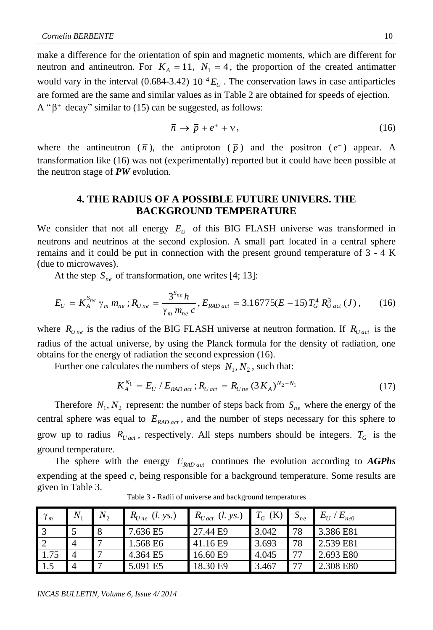make a difference for the orientation of spin and magnetic moments, which are different for neutron and antineutron. For  $K_A = 11$ ,  $N_1 = 4$ , the proportion of the created antimatter would vary in the interval (0.684-3.42)  $10^{-4} E_U$ . The conservation laws in case antiparticles are formed are the same and similar values as in Table 2 are obtained for speeds of ejection.  $A''\beta^+$  decay" similar to (15) can be suggested, as follows:

$$
\overline{n} \to \overline{p} + e^+ + \nu, \tag{16}
$$

where the antineutron  $(\bar{n})$ , the antiproton  $(\bar{p})$  and the positron  $(e^+)$  appear. A transformation like (16) was not (experimentally) reported but it could have been possible at the neutron stage of *PW* evolution.

# **4. THE RADIUS OF A POSSIBLE FUTURE UNIVERS. THE BACKGROUND TEMPERATURE**

We consider that not all energy  $E_U$  of this BIG FLASH universe was transformed in neutrons and neutrinos at the second explosion. A small part located in a central sphere remains and it could be put in connection with the present ground temperature of 3 - 4 K (due to microwaves).

At the step  $S_{ne}$  of transformation, one writes [4; 13]:

At the step 
$$
S_{ne}
$$
 of transformation, one writes [4; 13]:  
\n
$$
E_U = K_A^{S_{ne}} \gamma_m m_{ne}; R_{Une} = \frac{3^{S_{ne}} h}{\gamma_m m_{ne} c}, E_{RAD_{act}} = 3.16775(E - 15)T_G^4 R_{U_{act}}^3(J),
$$
\n(16)

where  $R_{Une}$  is the radius of the BIG FLASH universe at neutron formation. If  $R_{Unet}$  is the radius of the actual universe, by using the Planck formula for the density of radiation, one obtains for the energy of radiation the second expression (16).

Further one calculates the numbers of steps  $N_1, N_2$ , such that:

$$
K_A^{N_1} = E_U / E_{RAD \, act} ; R_{U \, act} = R_{U \, ne} \, (3 \, K_A)^{N_2 - N_1} \tag{17}
$$

Therefore  $N_1, N_2$  represent: the number of steps back from  $S_{ne}$  where the energy of the central sphere was equal to *ERAD act* , and the number of steps necessary for this sphere to grow up to radius  $R_{U \text{act}}$ , respectively. All steps numbers should be integers.  $T_G$  is the ground temperature.

The sphere with the energy  $E_{RAD\,act}$  continues the evolution according to  $AGPhs$ expending at the speed *c,* being responsible for a background temperature. Some results are given in Table 3.

| $\gamma_m$ | $N_{1}$ | $N_{2}$ | $R_{Une}$ (l. ys.) | $R_{U \, act}$<br>(l. ys.) | (K)<br>$T_G$ | $\mathcal{L}_{ne}$ | $E_U$<br>$E_{ne0}$ |
|------------|---------|---------|--------------------|----------------------------|--------------|--------------------|--------------------|
|            |         | 8       | 7.636 E5           | 27.44 E9                   | 3.042        | 78                 | 3.386 E81          |
| -2         |         |         | 1.568 E6           | 41.16 E9                   | 3.693        | 78                 | 2.539 E81          |
| 1.75       |         |         | 4.364 E5           | 16.60 E9                   | 4.045        | 77                 | 2.693 E80          |
| 1.5        |         |         | 5.091 E5           | 18.30 E9                   | 3.467        | 77                 | 2.308 E80          |

Table 3 - Radii of universe and background temperatures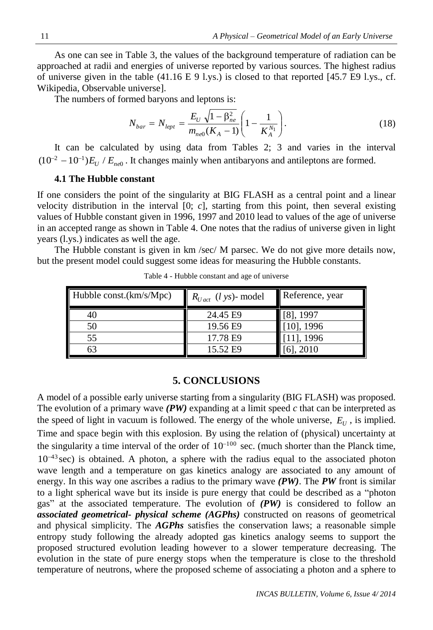As one can see in Table 3, the values of the background temperature of radiation can be approached at radii and energies of universe reported by various sources. The highest radius of universe given in the table (41.16 E 9 l.ys.) is closed to that reported [45.7 E9 l.ys., cf. Wikipedia, Observable universe].

The numbers of formed baryons and leptons is:

$$
N_{bar} = N_{lept} = \frac{E_U \sqrt{1 - \beta_{ne}^2}}{m_{ne0}(K_A - 1)} \left(1 - \frac{1}{K_A^{N_1}}\right).
$$
 (18)

It can be calculated by using data from Tables 2; 3 and varies in the interval  $(10^{-2} - 10^{-1})E_U / E_{ne0}$ . It changes mainly when antibaryons and antileptons are formed.

## **4.1 The Hubble constant**

If one considers the point of the singularity at BIG FLASH as a central point and a linear velocity distribution in the interval  $[0; c]$ , starting from this point, then several existing values of Hubble constant given in 1996, 1997 and 2010 lead to values of the age of universe in an accepted range as shown in Table 4. One notes that the radius of universe given in light years (l.ys.) indicates as well the age.

The Hubble constant is given in km /sec/ M parsec. We do not give more details now, but the present model could suggest some ideas for measuring the Hubble constants.

| Hubble const. $(km/s/Mpc)$ | $R_{Uact}$ ( <i>l</i> ys)- model | Reference, year |
|----------------------------|----------------------------------|-----------------|
| 40                         | 24.45 E9                         | $[8]$ , 1997    |
| 50                         | 19.56 E9                         | $[10]$ , 1996   |
| 55                         | 17.78 E9                         | 111, 1996       |
| 63                         | 15.52 E9                         | 61. 2010        |

Table 4 - Hubble constant and age of universe

# **5. CONCLUSIONS**

A model of a possible early universe starting from a singularity (BIG FLASH) was proposed. The evolution of a primary wave *(PW)* expanding at a limit speed *c* that can be interpreted as the speed of light in vacuum is followed. The energy of the whole universe,  $E_U$ , is implied. Time and space begin with this explosion. By using the relation of (physical) uncertainty at the singularity a time interval of the order of  $10^{-100}$  sec. (much shorter than the Planck time,  $10^{-43}$  sec) is obtained. A photon, a sphere with the radius equal to the associated photon wave length and a temperature on gas kinetics analogy are associated to any amount of energy. In this way one ascribes a radius to the primary wave *(PW)*. The *PW* front is similar to a light spherical wave but its inside is pure energy that could be described as a "photon gas" at the associated temperature. The evolution of *(PW)* is considered to follow an *associated geometrical- physical scheme (AGPhs)* constructed on reasons of geometrical and physical simplicity. The *AGPhs* satisfies the conservation laws; a reasonable simple entropy study following the already adopted gas kinetics analogy seems to support the proposed structured evolution leading however to a slower temperature decreasing. The evolution in the state of pure energy stops when the temperature is close to the threshold temperature of neutrons, where the proposed scheme of associating a photon and a sphere to